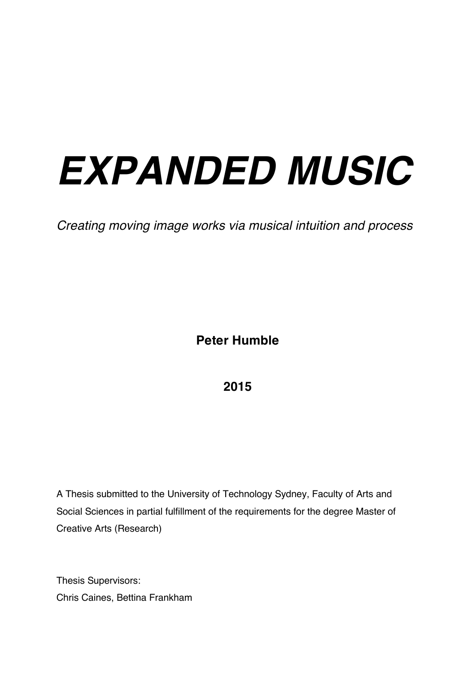# *EXPANDED MUSIC*

*Creating moving image works via musical intuition and process* 

**Peter Humble** 

**2015** 

A Thesis submitted to the University of Technology Sydney, Faculty of Arts and Social Sciences in partial fulfillment of the requirements for the degree Master of Creative Arts (Research)

Thesis Supervisors: Chris Caines, Bettina Frankham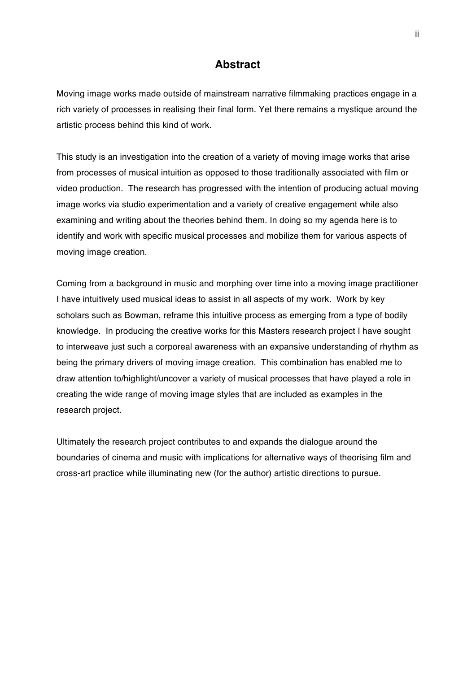#### **Abstract**

Moving image works made outside of mainstream narrative filmmaking practices engage in a rich variety of processes in realising their final form. Yet there remains a mystique around the artistic process behind this kind of work.

This study is an investigation into the creation of a variety of moving image works that arise from processes of musical intuition as opposed to those traditionally associated with film or video production. The research has progressed with the intention of producing actual moving image works via studio experimentation and a variety of creative engagement while also examining and writing about the theories behind them. In doing so my agenda here is to identify and work with specific musical processes and mobilize them for various aspects of moving image creation.

Coming from a background in music and morphing over time into a moving image practitioner I have intuitively used musical ideas to assist in all aspects of my work. Work by key scholars such as Bowman, reframe this intuitive process as emerging from a type of bodily knowledge. In producing the creative works for this Masters research project I have sought to interweave just such a corporeal awareness with an expansive understanding of rhythm as being the primary drivers of moving image creation. This combination has enabled me to draw attention to/highlight/uncover a variety of musical processes that have played a role in creating the wide range of moving image styles that are included as examples in the research project.

Ultimately the research project contributes to and expands the dialogue around the boundaries of cinema and music with implications for alternative ways of theorising film and cross-art practice while illuminating new (for the author) artistic directions to pursue.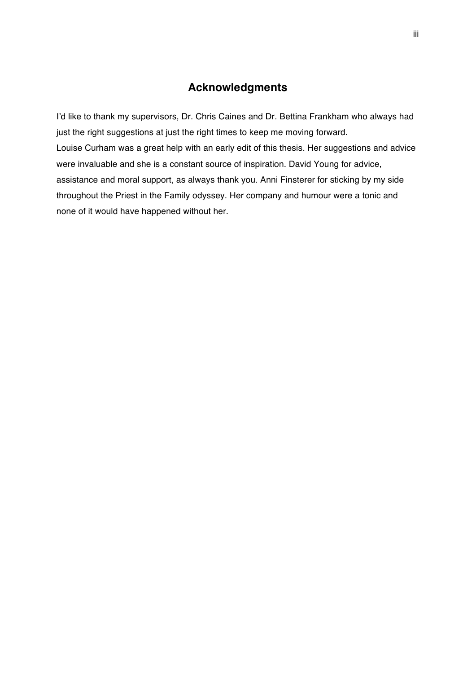#### **Acknowledgments**

I'd like to thank my supervisors, Dr. Chris Caines and Dr. Bettina Frankham who always had just the right suggestions at just the right times to keep me moving forward. Louise Curham was a great help with an early edit of this thesis. Her suggestions and advice were invaluable and she is a constant source of inspiration. David Young for advice, assistance and moral support, as always thank you. Anni Finsterer for sticking by my side throughout the Priest in the Family odyssey. Her company and humour were a tonic and none of it would have happened without her.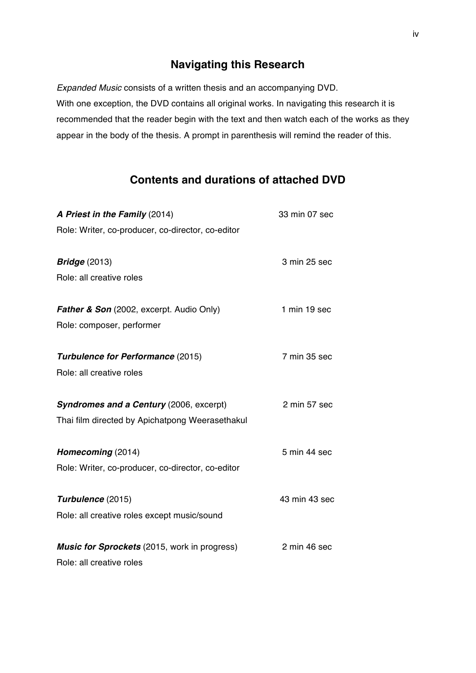#### **Navigating this Research**

*Expanded Music* consists of a written thesis and an accompanying DVD. With one exception, the DVD contains all original works. In navigating this research it is recommended that the reader begin with the text and then watch each of the works as they appear in the body of the thesis. A prompt in parenthesis will remind the reader of this.

### **Contents and durations of attached DVD**

| A Priest in the Family (2014)                       | 33 min 07 sec |
|-----------------------------------------------------|---------------|
| Role: Writer, co-producer, co-director, co-editor   |               |
| <b>Bridge</b> (2013)                                | 3 min 25 sec  |
| Role: all creative roles                            |               |
| <b>Father &amp; Son</b> (2002, excerpt. Audio Only) | 1 min 19 sec  |
| Role: composer, performer                           |               |
| <b>Turbulence for Performance (2015)</b>            | 7 min 35 sec  |
| Role: all creative roles                            |               |
| Syndromes and a Century (2006, excerpt)             | 2 min 57 sec  |
| Thai film directed by Apichatpong Weerasethakul     |               |
| Homecoming (2014)                                   | 5 min 44 sec  |
| Role: Writer, co-producer, co-director, co-editor   |               |
| Turbulence (2015)                                   | 43 min 43 sec |
| Role: all creative roles except music/sound         |               |
| Music for Sprockets (2015, work in progress)        | 2 min 46 sec  |
| Role: all creative roles                            |               |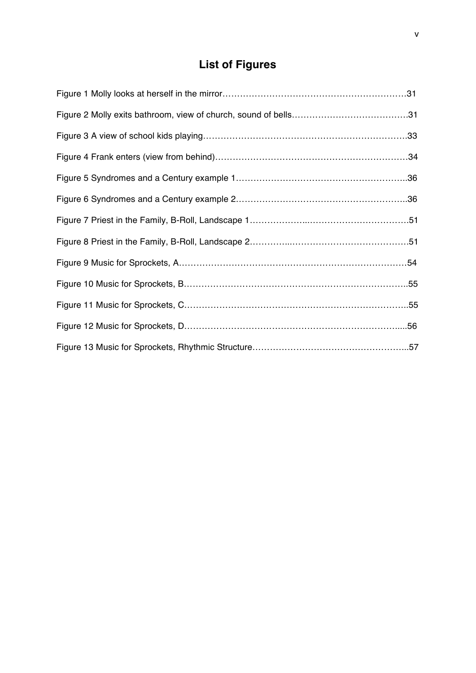## **List of Figures**